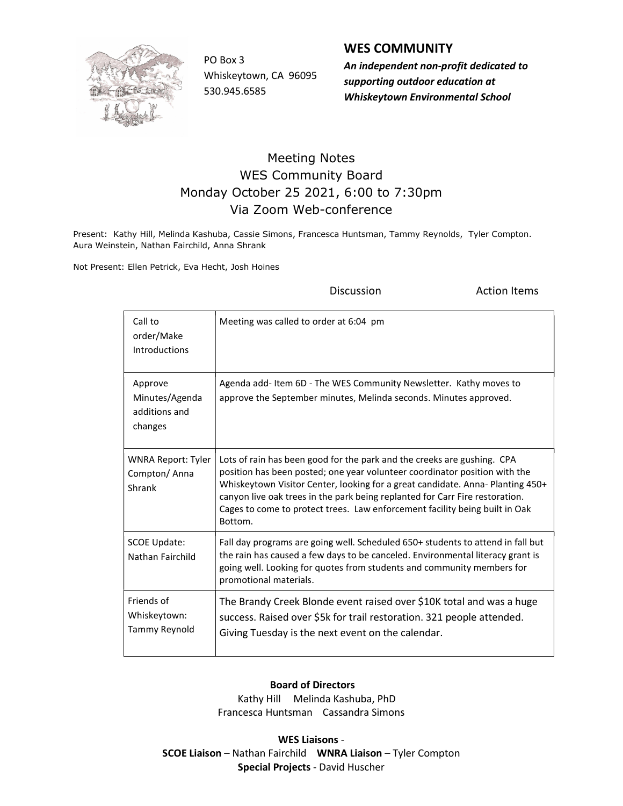

Whiskeytown, CA 96095 530.945.6585

## WES COMMUNITY

PO Box 3 An independent non-profit dedicated to supporting outdoor education at Whiskeytown Environmental School

## Meeting Notes WES Community Board Monday October 25 2021, 6:00 to 7:30pm Via Zoom Web-conference

Present: Kathy Hill, Melinda Kashuba, Cassie Simons, Francesca Huntsman, Tammy Reynolds, Tyler Compton. Aura Weinstein, Nathan Fairchild, Anna Shrank

Not Present: Ellen Petrick, Eva Hecht, Josh Hoines

**Discussion Constanting Discussion Action Items** 

| Call to<br>order/Make<br><b>Introductions</b>         | Meeting was called to order at 6:04 pm                                                                                                                                                                                                                                                                                                                                                                            |
|-------------------------------------------------------|-------------------------------------------------------------------------------------------------------------------------------------------------------------------------------------------------------------------------------------------------------------------------------------------------------------------------------------------------------------------------------------------------------------------|
| Approve<br>Minutes/Agenda<br>additions and<br>changes | Agenda add-Item 6D - The WES Community Newsletter. Kathy moves to<br>approve the September minutes, Melinda seconds. Minutes approved.                                                                                                                                                                                                                                                                            |
| <b>WNRA Report: Tyler</b><br>Compton/Anna<br>Shrank   | Lots of rain has been good for the park and the creeks are gushing. CPA<br>position has been posted; one year volunteer coordinator position with the<br>Whiskeytown Visitor Center, looking for a great candidate. Anna- Planting 450+<br>canyon live oak trees in the park being replanted for Carr Fire restoration.<br>Cages to come to protect trees. Law enforcement facility being built in Oak<br>Bottom. |
| <b>SCOE Update:</b><br>Nathan Fairchild               | Fall day programs are going well. Scheduled 650+ students to attend in fall but<br>the rain has caused a few days to be canceled. Environmental literacy grant is<br>going well. Looking for quotes from students and community members for<br>promotional materials.                                                                                                                                             |
| Friends of<br>Whiskeytown:<br>Tammy Reynold           | The Brandy Creek Blonde event raised over \$10K total and was a huge<br>success. Raised over \$5k for trail restoration. 321 people attended.<br>Giving Tuesday is the next event on the calendar.                                                                                                                                                                                                                |

## Board of Directors

 Kathy Hill Melinda Kashuba, PhD Francesca Huntsman Cassandra Simons

WES Liaisons - SCOE Liaison – Nathan Fairchild WNRA Liaison – Tyler Compton Special Projects - David Huscher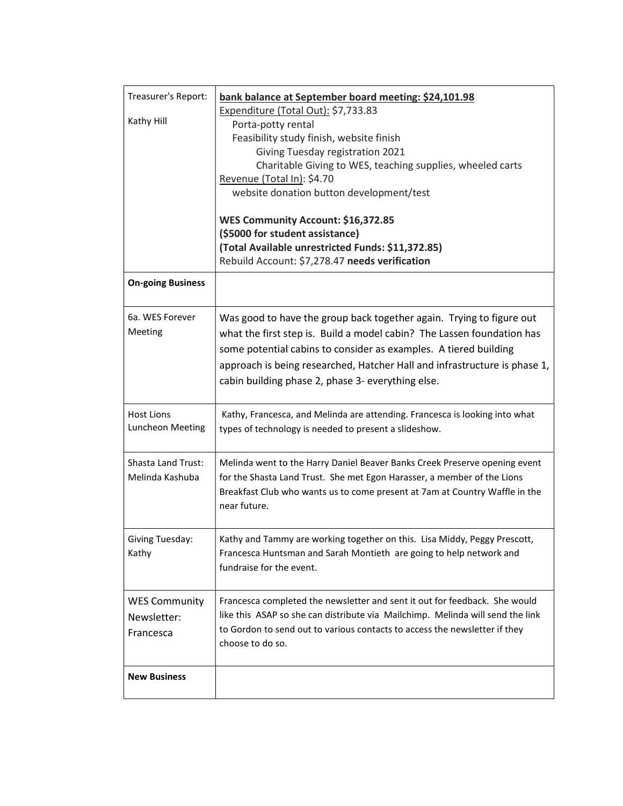| Treasurer's Report:<br>Kathy Hill                | bank balance at September board meeting: \$24,101.98<br>Expenditure (Total Out): \$7,733.83<br>Porta-potty rental<br>Feasibility study finish, website finish<br>Giving Tuesday registration 2021<br>Charitable Giving to WES, teaching supplies, wheeled carts<br>Revenue (Total In): \$4.70<br>website donation button development/test<br>WES Community Account: \$16,372.85<br>(\$5000 for student assistance)<br>(Total Available unrestricted Funds: \$11,372.85)<br>Rebuild Account: \$7,278.47 needs verification |  |
|--------------------------------------------------|---------------------------------------------------------------------------------------------------------------------------------------------------------------------------------------------------------------------------------------------------------------------------------------------------------------------------------------------------------------------------------------------------------------------------------------------------------------------------------------------------------------------------|--|
| <b>On-going Business</b>                         |                                                                                                                                                                                                                                                                                                                                                                                                                                                                                                                           |  |
| 6a. WES Forever<br>Meeting                       | Was good to have the group back together again. Trying to figure out<br>what the first step is. Build a model cabin? The Lassen foundation has<br>some potential cabins to consider as examples. A tiered building<br>approach is being researched, Hatcher Hall and infrastructure is phase 1,<br>cabin building phase 2, phase 3- everything else.                                                                                                                                                                      |  |
| <b>Host Lions</b><br>Luncheon Meeting            | Kathy, Francesca, and Melinda are attending. Francesca is looking into what<br>types of technology is needed to present a slideshow.                                                                                                                                                                                                                                                                                                                                                                                      |  |
| <b>Shasta Land Trust:</b><br>Melinda Kashuba     | Melinda went to the Harry Daniel Beaver Banks Creek Preserve opening event<br>for the Shasta Land Trust. She met Egon Harasser, a member of the Lions<br>Breakfast Club who wants us to come present at 7am at Country Waffle in the<br>near future.                                                                                                                                                                                                                                                                      |  |
| Giving Tuesday:<br>Kathy                         | Kathy and Tammy are working together on this. Lisa Middy, Peggy Prescott,<br>Francesca Huntsman and Sarah Montieth are going to help network and<br>fundraise for the event.                                                                                                                                                                                                                                                                                                                                              |  |
| <b>WES Community</b><br>Newsletter:<br>Francesca | Francesca completed the newsletter and sent it out for feedback. She would<br>like this ASAP so she can distribute via Mailchimp. Melinda will send the link<br>to Gordon to send out to various contacts to access the newsletter if they<br>choose to do so.                                                                                                                                                                                                                                                            |  |
| <b>New Business</b>                              |                                                                                                                                                                                                                                                                                                                                                                                                                                                                                                                           |  |